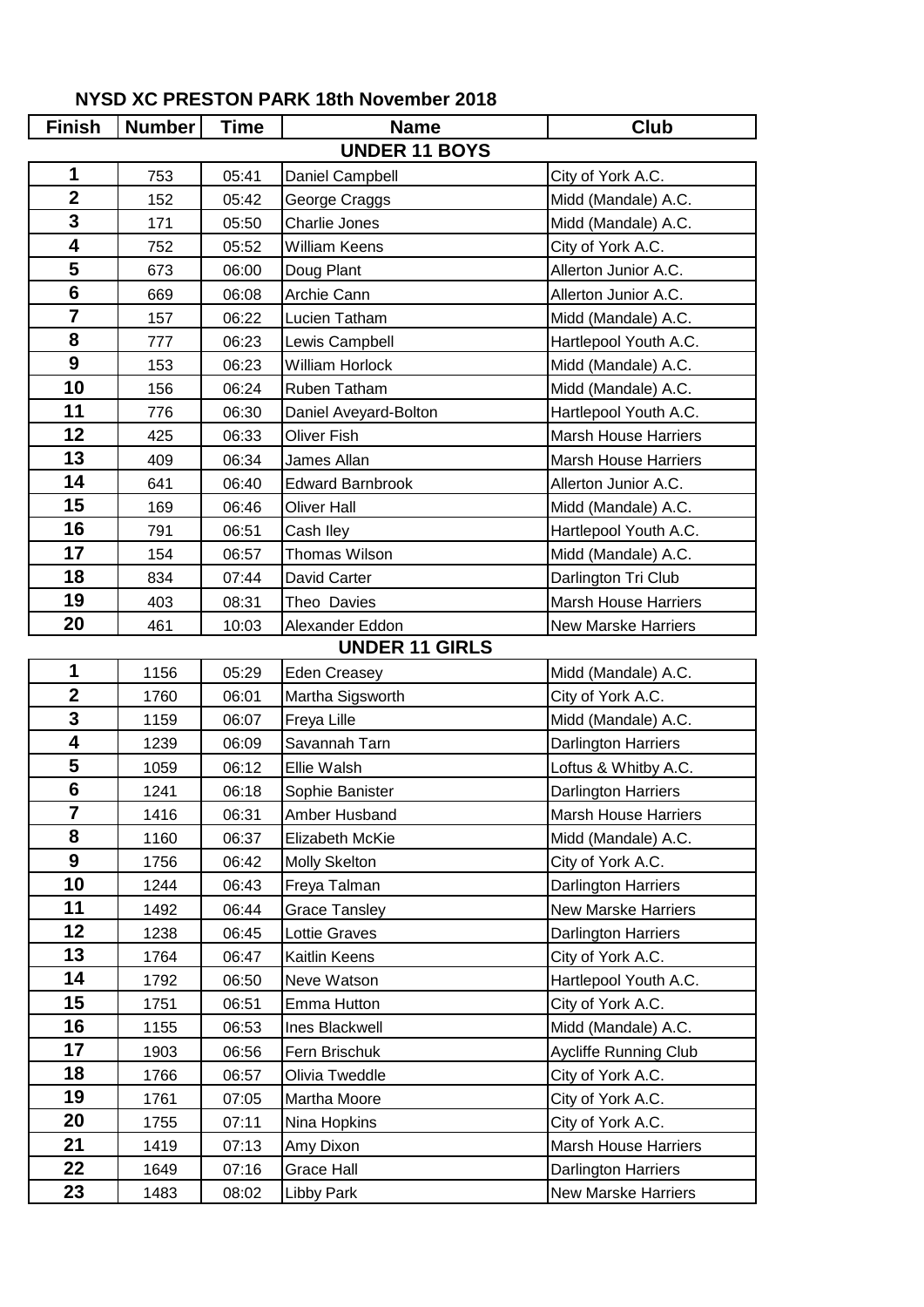| <b>Finish</b>           | <b>Number</b> | <b>Time</b> | <b>Name</b>             | <b>Club</b>                 |
|-------------------------|---------------|-------------|-------------------------|-----------------------------|
|                         |               |             | <b>UNDER 11 BOYS</b>    |                             |
| 1                       | 753           | 05:41       | Daniel Campbell         | City of York A.C.           |
| $\overline{2}$          | 152           | 05:42       | George Craggs           | Midd (Mandale) A.C.         |
| $\overline{\mathbf{3}}$ | 171           | 05:50       | Charlie Jones           | Midd (Mandale) A.C.         |
| 4                       | 752           | 05:52       | <b>William Keens</b>    | City of York A.C.           |
| 5                       | 673           | 06:00       | Doug Plant              | Allerton Junior A.C.        |
| $6\phantom{1}$          | 669           | 06:08       | Archie Cann             | Allerton Junior A.C.        |
| $\overline{7}$          | 157           | 06:22       | Lucien Tatham           | Midd (Mandale) A.C.         |
| 8                       | 777           | 06:23       | Lewis Campbell          | Hartlepool Youth A.C.       |
| $\boldsymbol{9}$        | 153           | 06:23       | <b>William Horlock</b>  | Midd (Mandale) A.C.         |
| 10                      | 156           | 06:24       | Ruben Tatham            | Midd (Mandale) A.C.         |
| 11                      | 776           | 06:30       | Daniel Aveyard-Bolton   | Hartlepool Youth A.C.       |
| 12                      | 425           | 06:33       | <b>Oliver Fish</b>      | <b>Marsh House Harriers</b> |
| 13                      | 409           | 06:34       | James Allan             | <b>Marsh House Harriers</b> |
| 14                      | 641           | 06:40       | <b>Edward Barnbrook</b> | Allerton Junior A.C.        |
| 15                      | 169           | 06:46       | <b>Oliver Hall</b>      | Midd (Mandale) A.C.         |
| 16                      | 791           | 06:51       | Cash Iley               | Hartlepool Youth A.C.       |
| 17                      | 154           | 06:57       | <b>Thomas Wilson</b>    | Midd (Mandale) A.C.         |
| 18                      | 834           | 07:44       | David Carter            | Darlington Tri Club         |
| 19                      | 403           | 08:31       | Theo Davies             | <b>Marsh House Harriers</b> |
| 20                      | 461           | 10:03       | Alexander Eddon         | <b>New Marske Harriers</b>  |
|                         |               |             | <b>UNDER 11 GIRLS</b>   |                             |
| 1                       | 1156          | 05:29       | <b>Eden Creasey</b>     | Midd (Mandale) A.C.         |
| $\overline{\mathbf{2}}$ | 1760          | 06:01       | Martha Sigsworth        | City of York A.C.           |
| 3                       | 1159          | 06:07       | Freya Lille             | Midd (Mandale) A.C.         |
| 4                       | 1239          | 06:09       | Savannah Tarn           | <b>Darlington Harriers</b>  |
| 5                       | 1059          | 06:12       | Ellie Walsh             | Loftus & Whitby A.C.        |
| $\overline{\mathbf{6}}$ | 1241          | 06:18       | Sophie Banister         | <b>Darlington Harriers</b>  |
| 7                       | 1416          | 06:31       | Amber Husband           | <b>Marsh House Harriers</b> |
| 8                       | 1160          | 06:37       | Elizabeth McKie         | Midd (Mandale) A.C.         |
| $\boldsymbol{9}$        | 1756          | 06:42       | <b>Molly Skelton</b>    | City of York A.C.           |
| 10                      | 1244          | 06:43       | Freya Talman            | Darlington Harriers         |
| 11                      | 1492          | 06:44       | <b>Grace Tansley</b>    | <b>New Marske Harriers</b>  |
| 12 <sub>2</sub>         | 1238          | 06:45       | Lottie Graves           | Darlington Harriers         |
| 13                      | 1764          | 06:47       | Kaitlin Keens           | City of York A.C.           |
| 14                      | 1792          | 06:50       | Neve Watson             | Hartlepool Youth A.C.       |
| 15                      | 1751          | 06:51       | Emma Hutton             | City of York A.C.           |
| 16                      | 1155          | 06:53       | Ines Blackwell          | Midd (Mandale) A.C.         |
| 17                      | 1903          | 06:56       | Fern Brischuk           | Aycliffe Running Club       |
| 18                      | 1766          | 06:57       | Olivia Tweddle          | City of York A.C.           |
| 19                      | 1761          | 07:05       | Martha Moore            | City of York A.C.           |
| 20                      | 1755          | 07:11       | Nina Hopkins            | City of York A.C.           |
| 21                      | 1419          | 07:13       | Amy Dixon               | Marsh House Harriers        |
| 22                      | 1649          | 07:16       | <b>Grace Hall</b>       | <b>Darlington Harriers</b>  |
| 23                      | 1483          | 08:02       | <b>Libby Park</b>       | <b>New Marske Harriers</b>  |

## **NYSD XC PRESTON PARK 18th November 2018**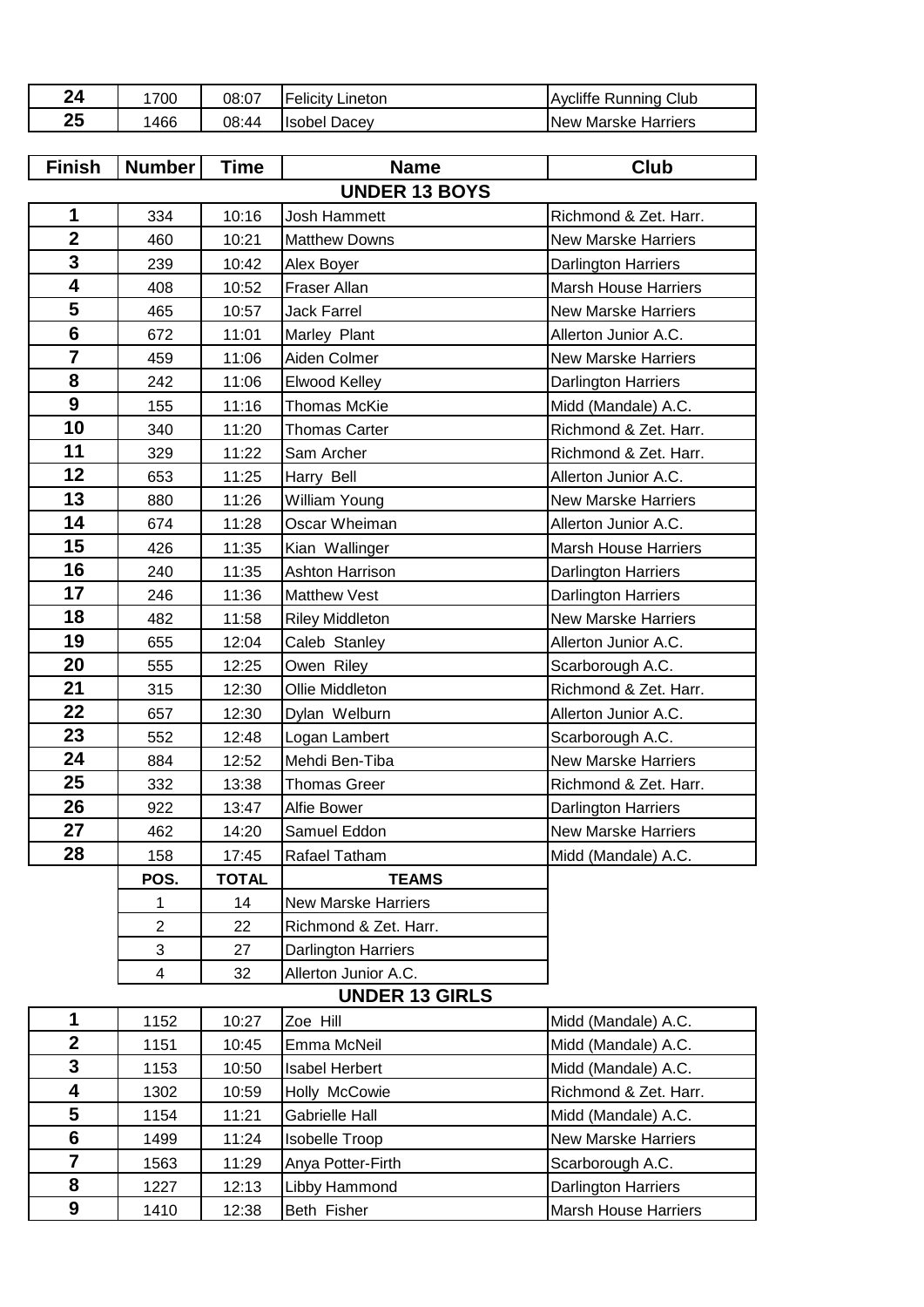| 24        | 700  | 08:07 | <b>Felicity Lineton</b> | Running Club<br>Avcliffe |
|-----------|------|-------|-------------------------|--------------------------|
| OE.<br>ΖJ | 1466 | 08:44 | <b>Isobel Dacev</b>     | New Marske Harriers      |
|           |      |       |                         |                          |

| <b>Finish</b>           | <b>Number</b>  | <b>Time</b>  | <b>Name</b>                | <b>Club</b>                 |
|-------------------------|----------------|--------------|----------------------------|-----------------------------|
|                         |                |              | <b>UNDER 13 BOYS</b>       |                             |
| 1                       | 334            | 10:16        | Josh Hammett               | Richmond & Zet. Harr.       |
| $\overline{2}$          | 460            | 10:21        | <b>Matthew Downs</b>       | <b>New Marske Harriers</b>  |
| 3                       | 239            | 10:42        | Alex Boyer                 | <b>Darlington Harriers</b>  |
| 4                       | 408            | 10:52        | Fraser Allan               | <b>Marsh House Harriers</b> |
| 5                       | 465            | 10:57        | <b>Jack Farrel</b>         | <b>New Marske Harriers</b>  |
| $6\phantom{1}$          | 672            | 11:01        | Marley Plant               | Allerton Junior A.C.        |
| $\overline{\mathbf{7}}$ | 459            | 11:06        | Aiden Colmer               | <b>New Marske Harriers</b>  |
| 8                       | 242            | 11:06        | Elwood Kelley              | Darlington Harriers         |
| $\boldsymbol{9}$        | 155            | 11:16        | Thomas McKie               | Midd (Mandale) A.C.         |
| 10                      | 340            | 11:20        | <b>Thomas Carter</b>       | Richmond & Zet. Harr.       |
| 11                      | 329            | 11:22        | Sam Archer                 | Richmond & Zet. Harr.       |
| 12                      | 653            | 11:25        | Harry Bell                 | Allerton Junior A.C.        |
| 13                      | 880            | 11:26        | <b>William Young</b>       | <b>New Marske Harriers</b>  |
| 14                      | 674            | 11:28        | Oscar Wheiman              | Allerton Junior A.C.        |
| 15                      | 426            | 11:35        | Kian Wallinger             | <b>Marsh House Harriers</b> |
| 16                      | 240            | 11:35        | <b>Ashton Harrison</b>     | <b>Darlington Harriers</b>  |
| 17                      | 246            | 11:36        | <b>Matthew Vest</b>        | <b>Darlington Harriers</b>  |
| 18                      | 482            | 11:58        | <b>Riley Middleton</b>     | <b>New Marske Harriers</b>  |
| 19                      | 655            | 12:04        | Caleb Stanley              | Allerton Junior A.C.        |
| 20                      | 555            | 12:25        | Owen Riley                 | Scarborough A.C.            |
| 21                      | 315            | 12:30        | Ollie Middleton            | Richmond & Zet. Harr.       |
| 22                      | 657            | 12:30        | Dylan Welburn              | Allerton Junior A.C.        |
| 23                      | 552            | 12:48        | Logan Lambert              | Scarborough A.C.            |
| 24                      | 884            | 12:52        | Mehdi Ben-Tiba             | New Marske Harriers         |
| 25                      | 332            | 13:38        | <b>Thomas Greer</b>        | Richmond & Zet. Harr.       |
| 26                      | 922            | 13:47        | Alfie Bower                | Darlington Harriers         |
| 27                      | 462            | 14:20        | Samuel Eddon               | <b>New Marske Harriers</b>  |
| 28                      | 158            | 17:45        | Rafael Tatham              | Midd (Mandale) A.C.         |
|                         | POS.           | <b>TOTAL</b> | <b>TEAMS</b>               |                             |
|                         | 1              | 14           | <b>New Marske Harriers</b> |                             |
|                         | $\overline{c}$ | 22           | Richmond & Zet. Harr.      |                             |
|                         | 3              | 27           | Darlington Harriers        |                             |
|                         | 4              | 32           | Allerton Junior A.C.       |                             |
|                         |                |              | <b>UNDER 13 GIRLS</b>      |                             |
| 1                       | 1152           | 10:27        | Zoe Hill                   | Midd (Mandale) A.C.         |

|   | 1152 | 10:27 | Zoe Hill              | Midd (Mandale) A.C.         |
|---|------|-------|-----------------------|-----------------------------|
| 2 | 1151 | 10:45 | Emma McNeil           | Midd (Mandale) A.C.         |
| 3 | 1153 | 10:50 | <b>Isabel Herbert</b> | Midd (Mandale) A.C.         |
|   | 1302 | 10:59 | Holly McCowie         | Richmond & Zet. Harr.       |
| 5 | 1154 | 11:21 | <b>Gabrielle Hall</b> | Midd (Mandale) A.C.         |
| 6 | 1499 | 11:24 | <b>Isobelle Troop</b> | <b>New Marske Harriers</b>  |
|   | 1563 | 11:29 | Anya Potter-Firth     | Scarborough A.C.            |
| 8 | 1227 | 12:13 | Libby Hammond         | <b>Darlington Harriers</b>  |
| 9 | 1410 | 12:38 | Beth Fisher           | <b>Marsh House Harriers</b> |
|   |      |       |                       |                             |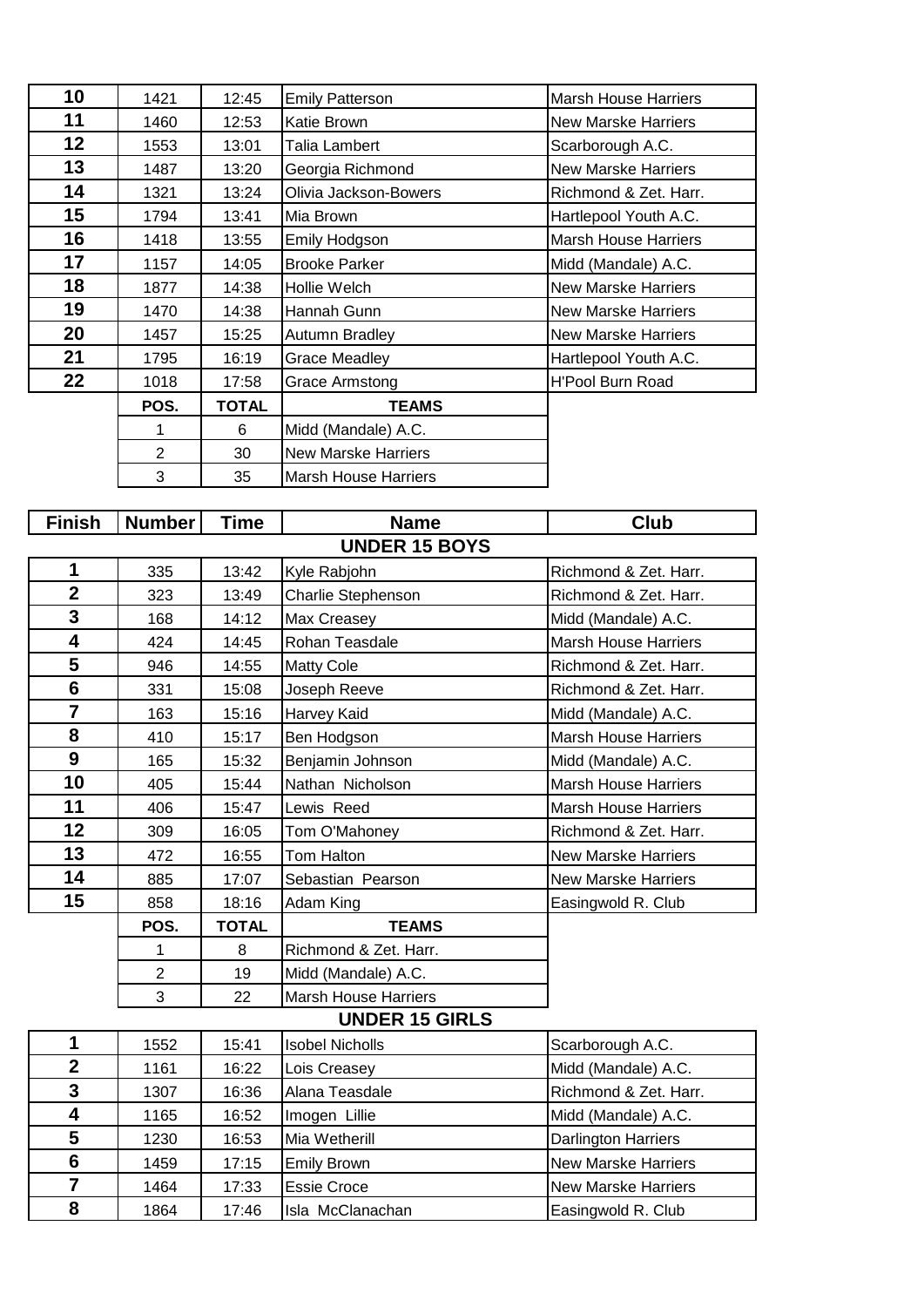| 10 | 1421 | 12:45        | <b>Emily Patterson</b>      | <b>Marsh House Harriers</b> |
|----|------|--------------|-----------------------------|-----------------------------|
| 11 | 1460 | 12:53        | Katie Brown                 | <b>New Marske Harriers</b>  |
| 12 | 1553 | 13:01        | Talia Lambert               | Scarborough A.C.            |
| 13 | 1487 | 13:20        | Georgia Richmond            | <b>New Marske Harriers</b>  |
| 14 | 1321 | 13:24        | Olivia Jackson-Bowers       | Richmond & Zet. Harr.       |
| 15 | 1794 | 13:41        | Mia Brown                   | Hartlepool Youth A.C.       |
| 16 | 1418 | 13:55        | Emily Hodgson               | <b>Marsh House Harriers</b> |
| 17 | 1157 | 14:05        | <b>Brooke Parker</b>        | Midd (Mandale) A.C.         |
| 18 | 1877 | 14:38        | Hollie Welch                | <b>New Marske Harriers</b>  |
| 19 | 1470 | 14:38        | Hannah Gunn                 | <b>New Marske Harriers</b>  |
| 20 | 1457 | 15:25        | Autumn Bradley              | <b>New Marske Harriers</b>  |
| 21 | 1795 | 16:19        | Grace Meadley               | Hartlepool Youth A.C.       |
| 22 | 1018 | 17:58        | Grace Armstong              | <b>H'Pool Burn Road</b>     |
|    | POS. | <b>TOTAL</b> | <b>TEAMS</b>                |                             |
|    |      | 6            | Midd (Mandale) A.C.         |                             |
|    | 2    | 30           | <b>New Marske Harriers</b>  |                             |
|    | 3    | 35           | <b>Marsh House Harriers</b> |                             |

| <b>Finish</b>           | Number               | <b>Time</b>  | <b>Name</b>                 | <b>Club</b>                 |  |  |  |  |
|-------------------------|----------------------|--------------|-----------------------------|-----------------------------|--|--|--|--|
|                         | <b>UNDER 15 BOYS</b> |              |                             |                             |  |  |  |  |
| 1                       | 335                  | 13:42        | Kyle Rabjohn                | Richmond & Zet. Harr.       |  |  |  |  |
| $\overline{2}$          | 323                  | 13:49        | Charlie Stephenson          | Richmond & Zet. Harr.       |  |  |  |  |
| 3                       | 168                  | 14:12        | Max Creasey                 | Midd (Mandale) A.C.         |  |  |  |  |
| 4                       | 424                  | 14:45        | Rohan Teasdale              | <b>Marsh House Harriers</b> |  |  |  |  |
| 5                       | 946                  | 14:55        | <b>Matty Cole</b>           | Richmond & Zet. Harr.       |  |  |  |  |
| $6\phantom{1}$          | 331                  | 15:08        | Joseph Reeve                | Richmond & Zet. Harr.       |  |  |  |  |
| $\overline{7}$          | 163                  | 15:16        | Harvey Kaid                 | Midd (Mandale) A.C.         |  |  |  |  |
| 8                       | 410                  | 15:17        | Ben Hodgson                 | <b>Marsh House Harriers</b> |  |  |  |  |
| 9                       | 165                  | 15:32        | Benjamin Johnson            | Midd (Mandale) A.C.         |  |  |  |  |
| 10                      | 405                  | 15:44        | Nathan Nicholson            | <b>Marsh House Harriers</b> |  |  |  |  |
| 11                      | 406                  | 15:47        | Lewis Reed                  | <b>Marsh House Harriers</b> |  |  |  |  |
| 12                      | 309                  | 16:05        | Tom O'Mahoney               | Richmond & Zet. Harr.       |  |  |  |  |
| 13                      | 472                  | 16:55        | Tom Halton                  | <b>New Marske Harriers</b>  |  |  |  |  |
| 14                      | 885                  | 17:07        | Sebastian Pearson           | <b>New Marske Harriers</b>  |  |  |  |  |
| 15                      | 858                  | 18:16        | Adam King                   | Easingwold R. Club          |  |  |  |  |
|                         | POS.                 | <b>TOTAL</b> | <b>TEAMS</b>                |                             |  |  |  |  |
|                         | 1                    | 8            | Richmond & Zet. Harr.       |                             |  |  |  |  |
|                         | $\overline{2}$       | 19           | Midd (Mandale) A.C.         |                             |  |  |  |  |
|                         | 3                    | 22           | <b>Marsh House Harriers</b> |                             |  |  |  |  |
|                         |                      |              | <b>UNDER 15 GIRLS</b>       |                             |  |  |  |  |
| 1                       | 1552                 | 15:41        | <b>Isobel Nicholls</b>      | Scarborough A.C.            |  |  |  |  |
| $\overline{\mathbf{2}}$ | 1161                 | 16:22        | Lois Creasey                | Midd (Mandale) A.C.         |  |  |  |  |
| 3                       | 1307                 | 16:36        | Alana Teasdale              | Richmond & Zet. Harr.       |  |  |  |  |
| $\overline{\mathbf{4}}$ | 1165                 | 16:52        | Imogen Lillie               | Midd (Mandale) A.C.         |  |  |  |  |
| 5                       | 1230                 | 16:53        | Mia Wetherill               | Darlington Harriers         |  |  |  |  |
| $6\phantom{1}$          | 1459                 | 17:15        | <b>Emily Brown</b>          | <b>New Marske Harriers</b>  |  |  |  |  |
| $\overline{7}$          | 1464                 | 17:33        | <b>Essie Croce</b>          | <b>New Marske Harriers</b>  |  |  |  |  |

1864 17:46 Isla McClanachan **Easingwold R. Club**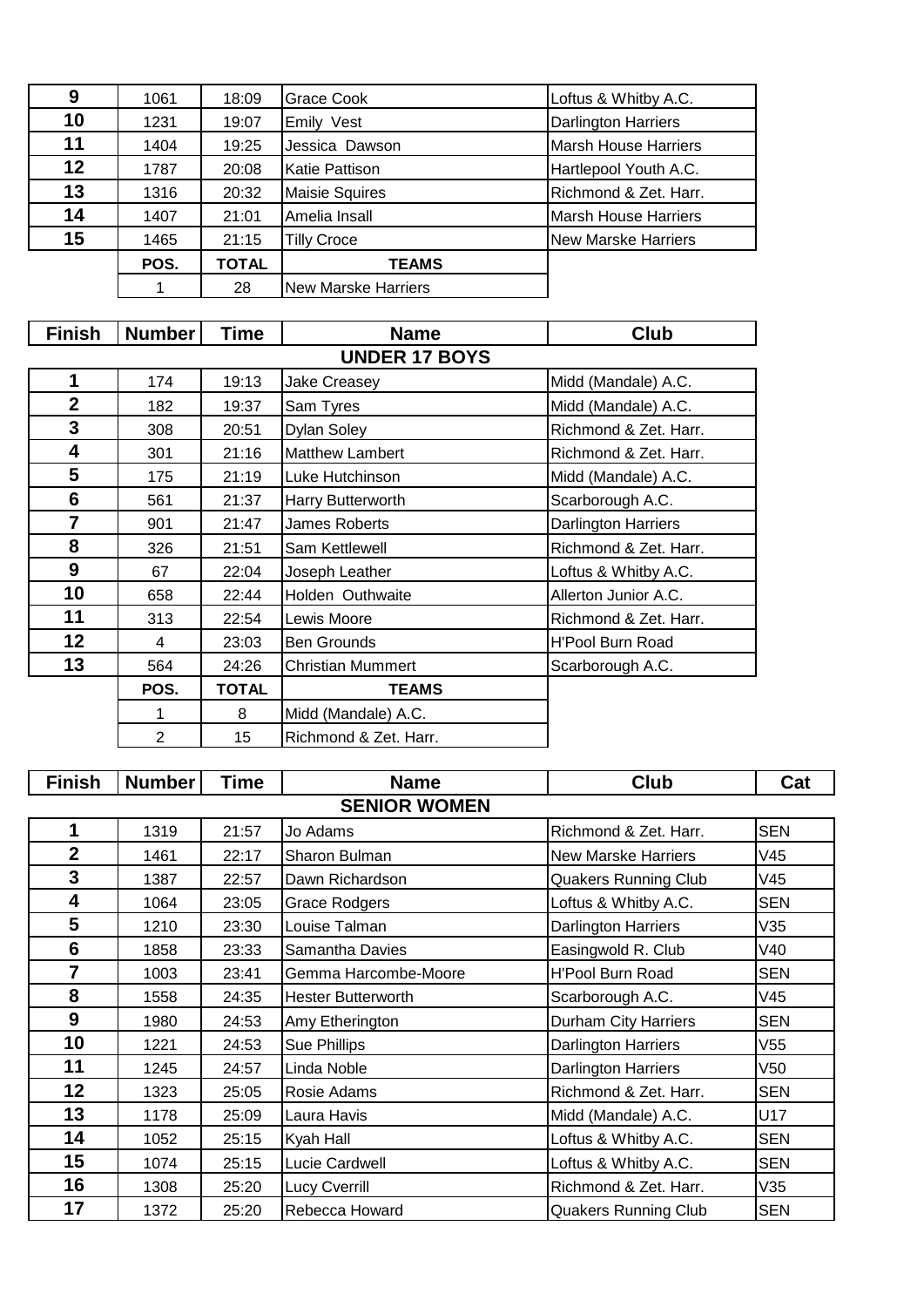| 9  | 1061 | 18:09        | Grace Cook                 | Loftus & Whitby A.C.        |
|----|------|--------------|----------------------------|-----------------------------|
| 10 | 1231 | 19:07        | Emily Vest                 | <b>Darlington Harriers</b>  |
| 11 | 1404 | 19:25        | Jessica Dawson             | <b>Marsh House Harriers</b> |
| 12 | 1787 | 20:08        | <b>Katie Pattison</b>      | Hartlepool Youth A.C.       |
| 13 | 1316 | 20:32        | <b>Maisie Squires</b>      | Richmond & Zet. Harr.       |
| 14 | 1407 | 21:01        | Amelia Insall              | <b>Marsh House Harriers</b> |
| 15 | 1465 | 21:15        | <b>Tilly Croce</b>         | <b>New Marske Harriers</b>  |
|    | POS. | <b>TOTAL</b> | <b>TEAMS</b>               |                             |
|    |      | 28           | <b>New Marske Harriers</b> |                             |

| <b>Finish</b>  | <b>Number</b>        | Time         | <b>Name</b>              | <b>Club</b>                |  |  |  |  |
|----------------|----------------------|--------------|--------------------------|----------------------------|--|--|--|--|
|                | <b>UNDER 17 BOYS</b> |              |                          |                            |  |  |  |  |
| 1              | 174                  | 19:13        | <b>Jake Creasey</b>      | Midd (Mandale) A.C.        |  |  |  |  |
| $\mathbf{2}$   | 182                  | 19:37        | Sam Tyres                | Midd (Mandale) A.C.        |  |  |  |  |
| 3              | 308                  | 20:51        | Dylan Soley              | Richmond & Zet. Harr.      |  |  |  |  |
| 4              | 301                  | 21:16        | <b>Matthew Lambert</b>   | Richmond & Zet. Harr.      |  |  |  |  |
| 5              | 175                  | 21:19        | Luke Hutchinson          | Midd (Mandale) A.C.        |  |  |  |  |
| 6              | 561                  | 21:37        | Harry Butterworth        | Scarborough A.C.           |  |  |  |  |
| $\overline{7}$ | 901                  | 21:47        | James Roberts            | <b>Darlington Harriers</b> |  |  |  |  |
| 8              | 326                  | 21:51        | Sam Kettlewell           | Richmond & Zet. Harr.      |  |  |  |  |
| 9              | 67                   | 22:04        | Joseph Leather           | Loftus & Whitby A.C.       |  |  |  |  |
| 10             | 658                  | 22:44        | Holden Outhwaite         | Allerton Junior A.C.       |  |  |  |  |
| 11             | 313                  | 22:54        | Lewis Moore              | Richmond & Zet. Harr.      |  |  |  |  |
| 12             | 4                    | 23:03        | <b>Ben Grounds</b>       | <b>H'Pool Burn Road</b>    |  |  |  |  |
| 13             | 564                  | 24:26        | <b>Christian Mummert</b> | Scarborough A.C.           |  |  |  |  |
|                | POS.                 | <b>TOTAL</b> | <b>TEAMS</b>             |                            |  |  |  |  |
|                | 1                    | 8            | Midd (Mandale) A.C.      |                            |  |  |  |  |
|                | $\overline{2}$       | 15           | Richmond & Zet. Harr.    |                            |  |  |  |  |

| <b>Finish</b>   | <b>Number</b> | Time  | <b>Name</b>               | <b>Club</b>                 | Cat             |
|-----------------|---------------|-------|---------------------------|-----------------------------|-----------------|
|                 |               |       | <b>SENIOR WOMEN</b>       |                             |                 |
| 1               | 1319          | 21:57 | Jo Adams                  | Richmond & Zet. Harr.       | <b>SEN</b>      |
| $\mathbf 2$     | 1461          | 22:17 | Sharon Bulman             | <b>New Marske Harriers</b>  | V45             |
| 3               | 1387          | 22:57 | Dawn Richardson           | <b>Quakers Running Club</b> | V45             |
| 4               | 1064          | 23:05 | <b>Grace Rodgers</b>      | Loftus & Whitby A.C.        | <b>SEN</b>      |
| 5               | 1210          | 23:30 | Louise Talman             | Darlington Harriers         | V35             |
| $6\phantom{1}6$ | 1858          | 23:33 | Samantha Davies           | Easingwold R. Club          | V40             |
| $\overline{7}$  | 1003          | 23:41 | Gemma Harcombe-Moore      | <b>H'Pool Burn Road</b>     | <b>SEN</b>      |
| 8               | 1558          | 24:35 | <b>Hester Butterworth</b> | Scarborough A.C.            | V45             |
| 9               | 1980          | 24:53 | Amy Etherington           | <b>Durham City Harriers</b> | <b>SEN</b>      |
| 10              | 1221          | 24:53 | Sue Phillips              | <b>Darlington Harriers</b>  | V <sub>55</sub> |
| 11              | 1245          | 24:57 | Linda Noble               | <b>Darlington Harriers</b>  | V <sub>50</sub> |
| 12              | 1323          | 25:05 | Rosie Adams               | Richmond & Zet. Harr.       | <b>SEN</b>      |
| 13              | 1178          | 25:09 | Laura Havis               | Midd (Mandale) A.C.         | U17             |
| 14              | 1052          | 25:15 | Kyah Hall                 | Loftus & Whitby A.C.        | <b>SEN</b>      |
| 15              | 1074          | 25:15 | Lucie Cardwell            | Loftus & Whitby A.C.        | <b>SEN</b>      |
| 16              | 1308          | 25:20 | Lucy Cverrill             | Richmond & Zet. Harr.       | V35             |
| 17              | 1372          | 25:20 | Rebecca Howard            | <b>Quakers Running Club</b> | <b>SEN</b>      |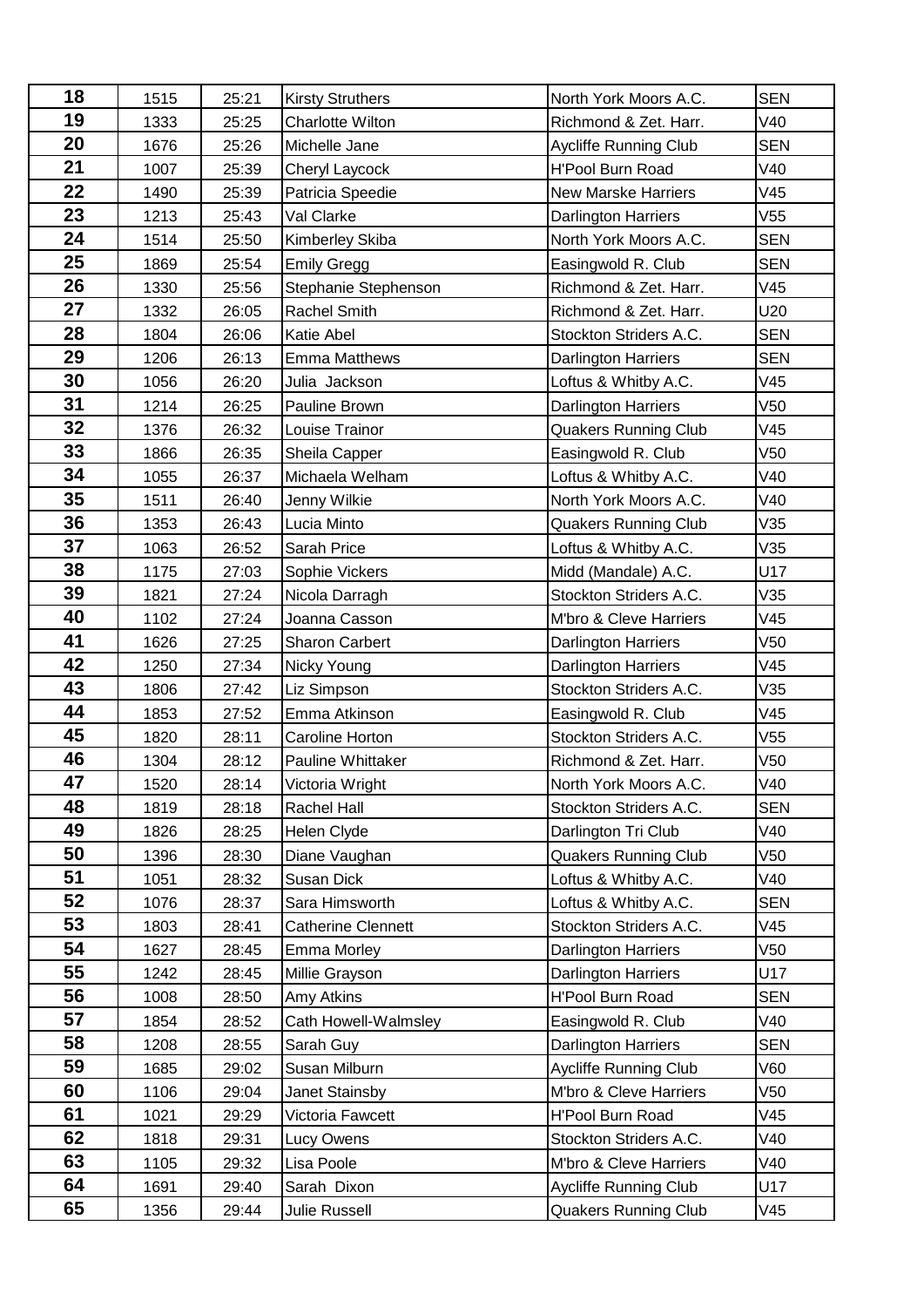| 18 | 1515 | 25:21 | <b>Kirsty Struthers</b>   | North York Moors A.C.       | <b>SEN</b>      |
|----|------|-------|---------------------------|-----------------------------|-----------------|
| 19 | 1333 | 25:25 | <b>Charlotte Wilton</b>   | Richmond & Zet. Harr.       | V40             |
| 20 | 1676 | 25:26 | Michelle Jane             | Aycliffe Running Club       | <b>SEN</b>      |
| 21 | 1007 | 25:39 | Cheryl Laycock            | <b>H'Pool Burn Road</b>     | V40             |
| 22 | 1490 | 25:39 | Patricia Speedie          | <b>New Marske Harriers</b>  | V45             |
| 23 | 1213 | 25:43 | Val Clarke                | <b>Darlington Harriers</b>  | V <sub>55</sub> |
| 24 | 1514 | 25:50 | Kimberley Skiba           | North York Moors A.C.       | <b>SEN</b>      |
| 25 | 1869 | 25:54 | <b>Emily Gregg</b>        | Easingwold R. Club          | <b>SEN</b>      |
| 26 | 1330 | 25:56 | Stephanie Stephenson      | Richmond & Zet. Harr.       | V45             |
| 27 | 1332 | 26:05 | Rachel Smith              | Richmond & Zet. Harr.       | U20             |
| 28 | 1804 | 26:06 | <b>Katie Abel</b>         | Stockton Striders A.C.      | <b>SEN</b>      |
| 29 | 1206 | 26:13 | <b>Emma Matthews</b>      | <b>Darlington Harriers</b>  | <b>SEN</b>      |
| 30 | 1056 | 26:20 | Julia Jackson             | Loftus & Whitby A.C.        | V45             |
| 31 | 1214 | 26:25 | Pauline Brown             | <b>Darlington Harriers</b>  | V <sub>50</sub> |
| 32 | 1376 | 26:32 | Louise Trainor            | <b>Quakers Running Club</b> | V45             |
| 33 | 1866 | 26:35 | Sheila Capper             | Easingwold R. Club          | V <sub>50</sub> |
| 34 | 1055 | 26:37 | Michaela Welham           | Loftus & Whitby A.C.        | V40             |
| 35 | 1511 | 26:40 | Jenny Wilkie              | North York Moors A.C.       | V40             |
| 36 | 1353 | 26:43 | Lucia Minto               | <b>Quakers Running Club</b> | V35             |
| 37 | 1063 | 26:52 | Sarah Price               | Loftus & Whitby A.C.        | V35             |
| 38 | 1175 | 27:03 | Sophie Vickers            | Midd (Mandale) A.C.         | U17             |
| 39 | 1821 | 27:24 | Nicola Darragh            | Stockton Striders A.C.      | V35             |
| 40 | 1102 | 27:24 | Joanna Casson             | M'bro & Cleve Harriers      | V45             |
| 41 | 1626 | 27:25 | <b>Sharon Carbert</b>     | <b>Darlington Harriers</b>  | V <sub>50</sub> |
| 42 | 1250 | 27:34 | Nicky Young               | Darlington Harriers         | V45             |
| 43 | 1806 | 27:42 | Liz Simpson               | Stockton Striders A.C.      | V35             |
| 44 | 1853 | 27:52 | Emma Atkinson             | Easingwold R. Club          | V45             |
| 45 | 1820 | 28:11 | Caroline Horton           | Stockton Striders A.C.      | V <sub>55</sub> |
| 46 | 1304 | 28:12 | Pauline Whittaker         | Richmond & Zet. Harr.       | V50             |
| 47 | 1520 | 28:14 | Victoria Wright           | North York Moors A.C.       | V40             |
| 48 | 1819 | 28:18 | Rachel Hall               | Stockton Striders A.C.      | <b>SEN</b>      |
| 49 | 1826 | 28:25 | Helen Clyde               | Darlington Tri Club         | V40             |
| 50 | 1396 | 28:30 | Diane Vaughan             | <b>Quakers Running Club</b> | V <sub>50</sub> |
| 51 | 1051 | 28:32 | Susan Dick                | Loftus & Whitby A.C.        | V40             |
| 52 | 1076 | 28:37 | Sara Himsworth            | Loftus & Whitby A.C.        | <b>SEN</b>      |
| 53 | 1803 | 28:41 | <b>Catherine Clennett</b> | Stockton Striders A.C.      | V45             |
| 54 | 1627 | 28:45 | Emma Morley               | <b>Darlington Harriers</b>  | V50             |
| 55 | 1242 | 28:45 | Millie Grayson            | Darlington Harriers         | U17             |
| 56 | 1008 | 28:50 | Amy Atkins                | H'Pool Burn Road            | <b>SEN</b>      |
| 57 | 1854 | 28:52 | Cath Howell-Walmsley      | Easingwold R. Club          | V40             |
| 58 | 1208 | 28:55 | Sarah Guy                 | Darlington Harriers         | <b>SEN</b>      |
| 59 | 1685 | 29:02 | Susan Milburn             | Aycliffe Running Club       | V60             |
| 60 | 1106 | 29:04 | Janet Stainsby            | M'bro & Cleve Harriers      | V50             |
| 61 | 1021 | 29:29 | Victoria Fawcett          | H'Pool Burn Road            | V45             |
| 62 | 1818 | 29:31 | Lucy Owens                | Stockton Striders A.C.      | V40             |
| 63 | 1105 | 29:32 | Lisa Poole                | M'bro & Cleve Harriers      | V40             |
| 64 | 1691 | 29:40 | Sarah Dixon               | Aycliffe Running Club       | U17             |
| 65 | 1356 | 29:44 | Julie Russell             | <b>Quakers Running Club</b> | V45             |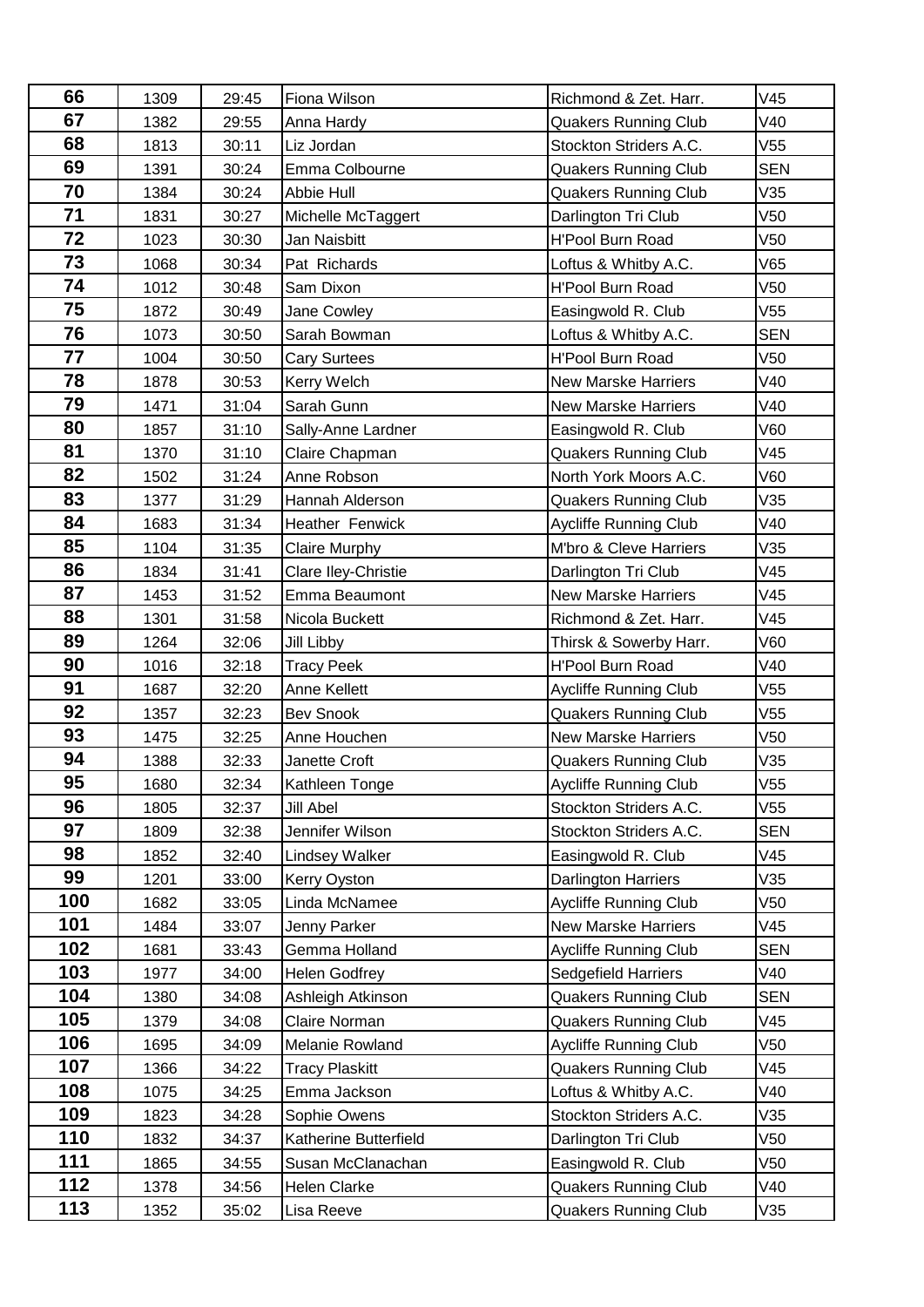| 66  | 1309 | 29:45 | Fiona Wilson          | Richmond & Zet. Harr.        | V45             |
|-----|------|-------|-----------------------|------------------------------|-----------------|
| 67  | 1382 | 29:55 | Anna Hardy            | <b>Quakers Running Club</b>  | V40             |
| 68  | 1813 | 30:11 | Liz Jordan            | Stockton Striders A.C.       | V55             |
| 69  | 1391 | 30:24 | Emma Colbourne        | <b>Quakers Running Club</b>  | <b>SEN</b>      |
| 70  | 1384 | 30:24 | Abbie Hull            | <b>Quakers Running Club</b>  | V35             |
| 71  | 1831 | 30:27 | Michelle McTaggert    | Darlington Tri Club          | V50             |
| 72  | 1023 | 30:30 | Jan Naisbitt          | <b>H'Pool Burn Road</b>      | V50             |
| 73  | 1068 | 30:34 | Pat Richards          | Loftus & Whitby A.C.         | V65             |
| 74  | 1012 | 30:48 | Sam Dixon             | <b>H'Pool Burn Road</b>      | V50             |
| 75  | 1872 | 30:49 | Jane Cowley           | Easingwold R. Club           | V55             |
| 76  | 1073 | 30:50 | Sarah Bowman          | Loftus & Whitby A.C.         | <b>SEN</b>      |
| 77  | 1004 | 30:50 | <b>Cary Surtees</b>   | <b>H'Pool Burn Road</b>      | V50             |
| 78  | 1878 | 30:53 | Kerry Welch           | <b>New Marske Harriers</b>   | V40             |
| 79  | 1471 | 31:04 | Sarah Gunn            | <b>New Marske Harriers</b>   | V40             |
| 80  | 1857 | 31:10 | Sally-Anne Lardner    | Easingwold R. Club           | V60             |
| 81  | 1370 | 31:10 | Claire Chapman        | Quakers Running Club         | V45             |
| 82  | 1502 | 31:24 | Anne Robson           | North York Moors A.C.        | V60             |
| 83  | 1377 | 31:29 | Hannah Alderson       | <b>Quakers Running Club</b>  | V35             |
| 84  | 1683 | 31:34 | Heather Fenwick       | Aycliffe Running Club        | V40             |
| 85  | 1104 | 31:35 | <b>Claire Murphy</b>  | M'bro & Cleve Harriers       | V35             |
| 86  | 1834 | 31:41 | Clare Iley-Christie   | Darlington Tri Club          | V45             |
| 87  | 1453 | 31:52 | Emma Beaumont         | <b>New Marske Harriers</b>   | V45             |
| 88  | 1301 | 31:58 | Nicola Buckett        | Richmond & Zet. Harr.        | V45             |
| 89  | 1264 | 32:06 | Jill Libby            | Thirsk & Sowerby Harr.       | V60             |
| 90  | 1016 | 32:18 | <b>Tracy Peek</b>     | H'Pool Burn Road             | V40             |
| 91  | 1687 | 32:20 | Anne Kellett          | <b>Aycliffe Running Club</b> | V55             |
| 92  | 1357 | 32:23 | <b>Bev Snook</b>      | <b>Quakers Running Club</b>  | V55             |
| 93  | 1475 | 32:25 | Anne Houchen          | <b>New Marske Harriers</b>   | V <sub>50</sub> |
| 94  | 1388 | 32:33 | Janette Croft         | <b>Quakers Running Club</b>  | V35             |
| 95  | 1680 | 32:34 | Kathleen Tonge        | Aycliffe Running Club        | V55             |
| 96  | 1805 | 32:37 | Jill Abel             | Stockton Striders A.C.       | V55             |
| 97  | 1809 | 32:38 | Jennifer Wilson       | Stockton Striders A.C.       | <b>SEN</b>      |
| 98  | 1852 | 32:40 | Lindsey Walker        | Easingwold R. Club           | V45             |
| 99  | 1201 | 33:00 | Kerry Oyston          | Darlington Harriers          | V35             |
| 100 | 1682 | 33:05 | Linda McNamee         | <b>Aycliffe Running Club</b> | V50             |
| 101 | 1484 | 33:07 | Jenny Parker          | <b>New Marske Harriers</b>   | V45             |
| 102 | 1681 | 33:43 | Gemma Holland         | <b>Aycliffe Running Club</b> | <b>SEN</b>      |
| 103 | 1977 | 34:00 | <b>Helen Godfrey</b>  | Sedgefield Harriers          | V40             |
| 104 | 1380 | 34:08 | Ashleigh Atkinson     | <b>Quakers Running Club</b>  | <b>SEN</b>      |
| 105 | 1379 | 34:08 | Claire Norman         | <b>Quakers Running Club</b>  | V45             |
| 106 | 1695 | 34:09 | Melanie Rowland       | <b>Aycliffe Running Club</b> | V50             |
| 107 | 1366 | 34:22 | <b>Tracy Plaskitt</b> | <b>Quakers Running Club</b>  | V45             |
| 108 | 1075 | 34:25 | Emma Jackson          | Loftus & Whitby A.C.         | V40             |
| 109 | 1823 | 34:28 | Sophie Owens          | Stockton Striders A.C.       | V35             |
| 110 | 1832 | 34:37 | Katherine Butterfield | Darlington Tri Club          | V50             |
| 111 | 1865 | 34:55 | Susan McClanachan     | Easingwold R. Club           | V50             |
| 112 | 1378 | 34:56 | Helen Clarke          | <b>Quakers Running Club</b>  | V40             |
| 113 | 1352 | 35:02 | Lisa Reeve            | <b>Quakers Running Club</b>  | V35             |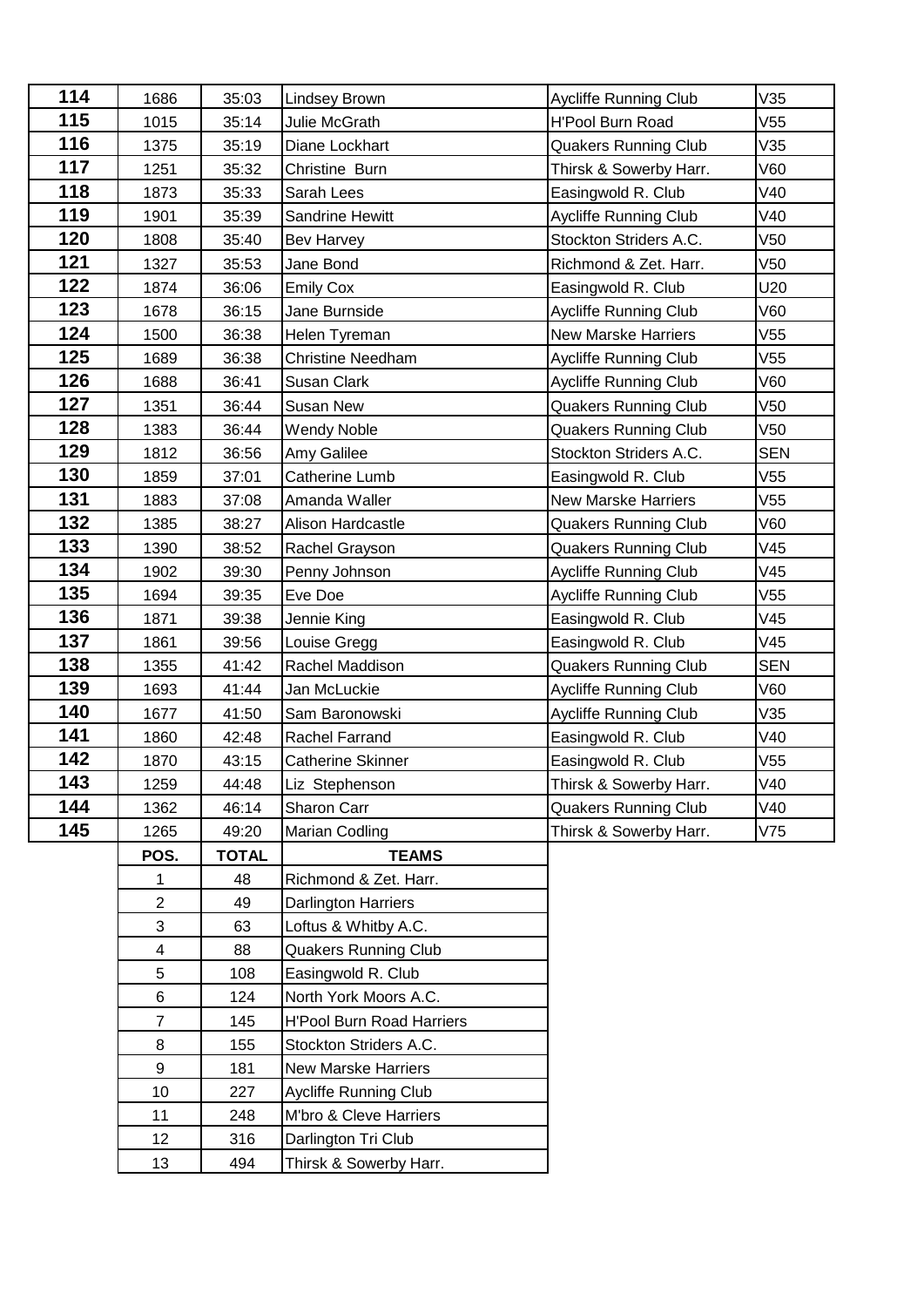| 114 | 1686                     | 35:03        | Lindsey Brown                    | <b>Aycliffe Running Club</b> | V35             |
|-----|--------------------------|--------------|----------------------------------|------------------------------|-----------------|
| 115 | 1015                     | 35:14        | Julie McGrath                    | <b>H'Pool Burn Road</b>      | V <sub>55</sub> |
| 116 | 1375                     | 35:19        | Diane Lockhart                   | <b>Quakers Running Club</b>  | V35             |
| 117 | 1251                     | 35:32        | Christine Burn                   | Thirsk & Sowerby Harr.       | V60             |
| 118 | 1873                     | 35:33        | Sarah Lees                       | Easingwold R. Club           | V40             |
| 119 | 1901                     | 35:39        | Sandrine Hewitt                  | <b>Aycliffe Running Club</b> | V40             |
| 120 | 1808                     | 35:40        | <b>Bev Harvey</b>                | Stockton Striders A.C.       | V <sub>50</sub> |
| 121 | 1327                     | 35:53        | Jane Bond                        | Richmond & Zet. Harr.        | V <sub>50</sub> |
| 122 | 1874                     | 36:06        | <b>Emily Cox</b>                 | Easingwold R. Club           | U20             |
| 123 | 1678                     | 36:15        | Jane Burnside                    | Aycliffe Running Club        | V60             |
| 124 | 1500                     | 36:38        | Helen Tyreman                    | <b>New Marske Harriers</b>   | V <sub>55</sub> |
| 125 | 1689                     | 36:38        | <b>Christine Needham</b>         | <b>Aycliffe Running Club</b> | V55             |
| 126 | 1688                     | 36:41        | Susan Clark                      | <b>Aycliffe Running Club</b> | V60             |
| 127 | 1351                     | 36:44        | Susan New                        | <b>Quakers Running Club</b>  | V50             |
| 128 | 1383                     | 36:44        | <b>Wendy Noble</b>               | <b>Quakers Running Club</b>  | V50             |
| 129 | 1812                     | 36:56        | Amy Galilee                      | Stockton Striders A.C.       | <b>SEN</b>      |
| 130 | 1859                     | 37:01        | Catherine Lumb                   | Easingwold R. Club           | V55             |
| 131 | 1883                     | 37:08        | Amanda Waller                    | <b>New Marske Harriers</b>   | V55             |
| 132 | 1385                     | 38:27        | Alison Hardcastle                | <b>Quakers Running Club</b>  | V60             |
| 133 | 1390                     | 38:52        | Rachel Grayson                   | <b>Quakers Running Club</b>  | V45             |
| 134 | 1902                     | 39:30        | Penny Johnson                    | <b>Aycliffe Running Club</b> | V45             |
| 135 | 1694                     | 39:35        | Eve Doe                          | Aycliffe Running Club        | V55             |
| 136 | 1871                     | 39:38        | Jennie King                      | Easingwold R. Club           | V45             |
| 137 | 1861                     | 39:56        | Louise Gregg                     | Easingwold R. Club           | V45             |
| 138 | 1355                     | 41:42        | Rachel Maddison                  | <b>Quakers Running Club</b>  | <b>SEN</b>      |
| 139 | 1693                     | 41:44        | Jan McLuckie                     | <b>Aycliffe Running Club</b> | V60             |
| 140 | 1677                     | 41:50        | Sam Baronowski                   | Aycliffe Running Club        | V35             |
| 141 | 1860                     | 42:48        | <b>Rachel Farrand</b>            | Easingwold R. Club           | V40             |
| 142 | 1870                     | 43:15        | <b>Catherine Skinner</b>         | Easingwold R. Club           | V55             |
| 143 | 1259                     | 44:48        | Liz Stephenson                   | Thirsk & Sowerby Harr.       | V40             |
| 144 | 1362                     | 46:14        | Sharon Carr                      | <b>Quakers Running Club</b>  | V40             |
| 145 | 1265                     | 49:20        | Marian Codling                   | Thirsk & Sowerby Harr.       | V75             |
|     | POS.                     | <b>TOTAL</b> | <b>TEAMS</b>                     |                              |                 |
|     | 1                        | 48           | Richmond & Zet. Harr.            |                              |                 |
|     | $\overline{2}$           | 49           | Darlington Harriers              |                              |                 |
|     | $\mathfrak{S}$           | 63           | Loftus & Whitby A.C.             |                              |                 |
|     | $\overline{\mathcal{A}}$ | 88           | <b>Quakers Running Club</b>      |                              |                 |
|     | 5                        | 108          | Easingwold R. Club               |                              |                 |
|     | 6                        | 124          | North York Moors A.C.            |                              |                 |
|     | $\overline{7}$           | 145          | <b>H'Pool Burn Road Harriers</b> |                              |                 |
|     | 8                        | 155          | Stockton Striders A.C.           |                              |                 |
|     | 9                        | 181          | <b>New Marske Harriers</b>       |                              |                 |
|     | 10                       | 227          | <b>Aycliffe Running Club</b>     |                              |                 |
|     | 11                       | 248          | M'bro & Cleve Harriers           |                              |                 |
|     | 12                       | 316          | Darlington Tri Club              |                              |                 |
|     | 13                       | 494          | Thirsk & Sowerby Harr.           |                              |                 |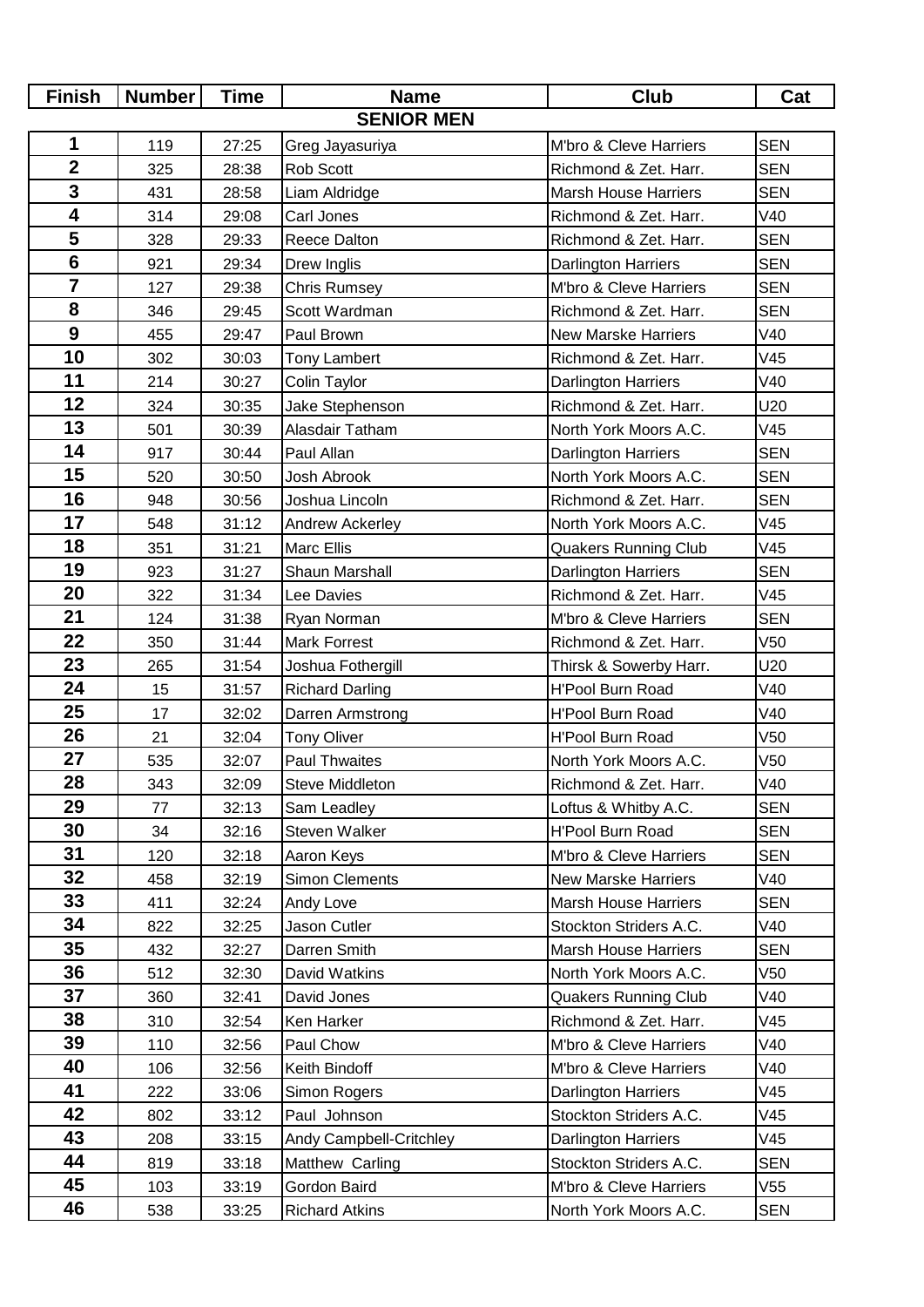| <b>Finish</b>           | <b>Number</b> | <b>Time</b> | <b>Name</b>             | <b>Club</b>                 | Cat             |
|-------------------------|---------------|-------------|-------------------------|-----------------------------|-----------------|
| <b>SENIOR MEN</b>       |               |             |                         |                             |                 |
| 1                       | 119           | 27:25       | Greg Jayasuriya         | M'bro & Cleve Harriers      | <b>SEN</b>      |
| $\overline{\mathbf{2}}$ | 325           | 28:38       | Rob Scott               | Richmond & Zet. Harr.       | <b>SEN</b>      |
| $\overline{\mathbf{3}}$ | 431           | 28:58       | Liam Aldridge           | <b>Marsh House Harriers</b> | <b>SEN</b>      |
| $\overline{\mathbf{4}}$ | 314           | 29:08       | Carl Jones              | Richmond & Zet. Harr.       | V40             |
| 5                       | 328           | 29:33       | Reece Dalton            | Richmond & Zet. Harr.       | <b>SEN</b>      |
| $6\phantom{a}$          | 921           | 29:34       | Drew Inglis             | <b>Darlington Harriers</b>  | <b>SEN</b>      |
| $\overline{\mathbf{7}}$ | 127           | 29:38       | <b>Chris Rumsey</b>     | M'bro & Cleve Harriers      | <b>SEN</b>      |
| 8                       | 346           | 29:45       | Scott Wardman           | Richmond & Zet. Harr.       | <b>SEN</b>      |
| $\boldsymbol{9}$        | 455           | 29:47       | Paul Brown              | <b>New Marske Harriers</b>  | V40             |
| 10                      | 302           | 30:03       | <b>Tony Lambert</b>     | Richmond & Zet. Harr.       | V45             |
| 11                      | 214           | 30:27       | Colin Taylor            | <b>Darlington Harriers</b>  | V40             |
| 12                      | 324           | 30:35       | Jake Stephenson         | Richmond & Zet. Harr.       | U20             |
| 13                      | 501           | 30:39       | Alasdair Tatham         | North York Moors A.C.       | V45             |
| 14                      | 917           | 30:44       | Paul Allan              | Darlington Harriers         | <b>SEN</b>      |
| 15                      | 520           | 30:50       | Josh Abrook             | North York Moors A.C.       | <b>SEN</b>      |
| 16                      | 948           | 30:56       | Joshua Lincoln          | Richmond & Zet. Harr.       | <b>SEN</b>      |
| 17                      | 548           | 31:12       | Andrew Ackerley         | North York Moors A.C.       | V45             |
| 18                      | 351           | 31:21       | <b>Marc Ellis</b>       | <b>Quakers Running Club</b> | V45             |
| 19                      | 923           | 31:27       | Shaun Marshall          | <b>Darlington Harriers</b>  | <b>SEN</b>      |
| 20                      | 322           | 31:34       | Lee Davies              | Richmond & Zet. Harr.       | V45             |
| 21                      | 124           | 31:38       | Ryan Norman             | M'bro & Cleve Harriers      | <b>SEN</b>      |
| 22                      | 350           | 31:44       | <b>Mark Forrest</b>     | Richmond & Zet. Harr.       | V <sub>50</sub> |
| 23                      | 265           | 31:54       | Joshua Fothergill       | Thirsk & Sowerby Harr.      | U20             |
| 24                      | 15            | 31:57       | <b>Richard Darling</b>  | <b>H'Pool Burn Road</b>     | V40             |
| 25                      | 17            | 32:02       | Darren Armstrong        | <b>H'Pool Burn Road</b>     | V40             |
| 26                      | 21            | 32:04       | <b>Tony Oliver</b>      | H'Pool Burn Road            | V50             |
| 27                      | 535           | 32:07       | <b>Paul Thwaites</b>    | North York Moors A.C.       | V50             |
| 28                      | 343           | 32:09       | Steve Middleton         | Richmond & Zet. Harr.       | V40             |
| 29                      | 77            | 32:13       | Sam Leadley             | Loftus & Whitby A.C.        | <b>SEN</b>      |
| 30                      | 34            | 32:16       | Steven Walker           | <b>H'Pool Burn Road</b>     | <b>SEN</b>      |
| 31                      | 120           | 32:18       | Aaron Keys              | M'bro & Cleve Harriers      | <b>SEN</b>      |
| 32                      | 458           | 32:19       | <b>Simon Clements</b>   | <b>New Marske Harriers</b>  | V40             |
| 33                      | 411           | 32:24       | Andy Love               | <b>Marsh House Harriers</b> | <b>SEN</b>      |
| 34                      | 822           | 32:25       | Jason Cutler            | Stockton Striders A.C.      | V40             |
| 35                      | 432           | 32:27       | Darren Smith            | <b>Marsh House Harriers</b> | <b>SEN</b>      |
| 36                      | 512           | 32:30       | David Watkins           | North York Moors A.C.       | V50             |
| 37                      | 360           | 32:41       | David Jones             | <b>Quakers Running Club</b> | V40             |
| 38                      | 310           | 32:54       | Ken Harker              | Richmond & Zet. Harr.       | V45             |
| 39                      | 110           | 32:56       | Paul Chow               | M'bro & Cleve Harriers      | V40             |
| 40                      | 106           | 32:56       | Keith Bindoff           | M'bro & Cleve Harriers      | V40             |
| 41                      | 222           | 33:06       | Simon Rogers            | <b>Darlington Harriers</b>  | V45             |
| 42                      | 802           | 33:12       | Paul Johnson            | Stockton Striders A.C.      | V45             |
| 43                      | 208           | 33:15       | Andy Campbell-Critchley | Darlington Harriers         | V45             |
| 44                      | 819           | 33:18       | Matthew Carling         | Stockton Striders A.C.      | <b>SEN</b>      |
| 45                      | 103           | 33:19       | Gordon Baird            | M'bro & Cleve Harriers      | V <sub>55</sub> |
| 46                      | 538           | 33:25       | <b>Richard Atkins</b>   | North York Moors A.C.       | <b>SEN</b>      |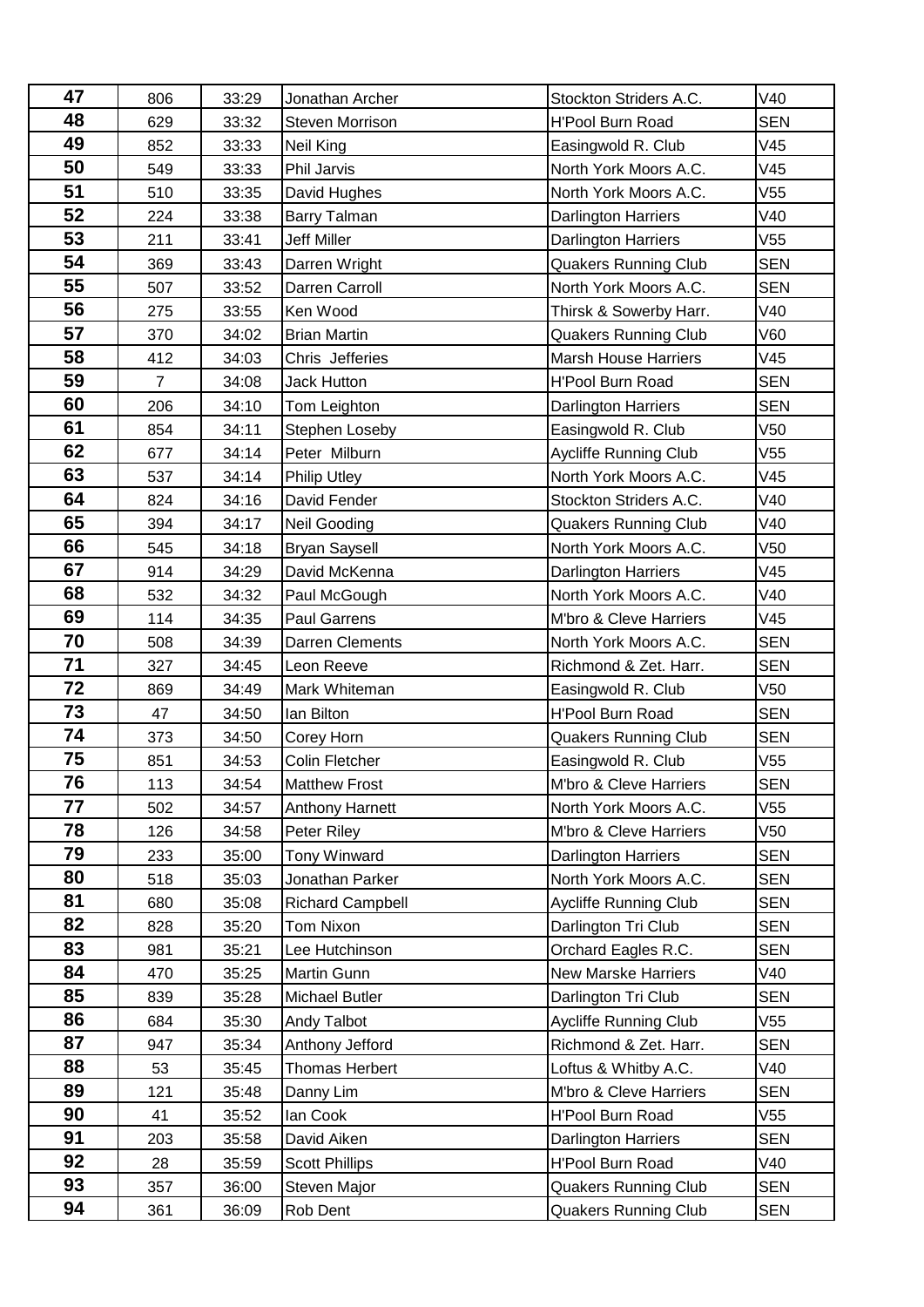| 47       | 806            | 33:29          | Jonathan Archer                       | Stockton Striders A.C.                                | V40               |
|----------|----------------|----------------|---------------------------------------|-------------------------------------------------------|-------------------|
| 48       | 629            | 33:32          | <b>Steven Morrison</b>                | <b>H'Pool Burn Road</b>                               | <b>SEN</b>        |
| 49       | 852            | 33:33          | Neil King                             | Easingwold R. Club                                    | V45               |
| 50       | 549            | 33:33          | Phil Jarvis                           | North York Moors A.C.                                 | V45               |
| 51       | 510            | 33:35          | David Hughes                          | North York Moors A.C.                                 | V55               |
| 52       | 224            | 33:38          | Barry Talman                          | Darlington Harriers                                   | V40               |
| 53       | 211            | 33:41          | <b>Jeff Miller</b>                    | Darlington Harriers                                   | V55               |
| 54       | 369            | 33:43          | Darren Wright                         | <b>Quakers Running Club</b>                           | <b>SEN</b>        |
| 55       | 507            | 33:52          | Darren Carroll                        | North York Moors A.C.                                 | <b>SEN</b>        |
| 56       | 275            | 33:55          | Ken Wood                              | Thirsk & Sowerby Harr.                                | V40               |
| 57       | 370            | 34:02          | <b>Brian Martin</b>                   | <b>Quakers Running Club</b>                           | V60               |
| 58       | 412            | 34:03          | Chris Jefferies                       | <b>Marsh House Harriers</b>                           | V45               |
| 59       | $\overline{7}$ | 34:08          | <b>Jack Hutton</b>                    | <b>H'Pool Burn Road</b>                               | <b>SEN</b>        |
| 60       | 206            | 34:10          | Tom Leighton                          | Darlington Harriers                                   | <b>SEN</b>        |
| 61       | 854            | 34:11          | Stephen Loseby                        | Easingwold R. Club                                    | V50               |
| 62       | 677            | 34:14          | Peter Milburn                         | <b>Aycliffe Running Club</b>                          | V55               |
| 63       | 537            | 34:14          | <b>Philip Utley</b>                   | North York Moors A.C.                                 | V45               |
| 64       | 824            | 34:16          | David Fender                          | Stockton Striders A.C.                                | V40               |
| 65       | 394            | 34:17          | Neil Gooding                          | <b>Quakers Running Club</b>                           | V40               |
| 66       | 545            | 34:18          | <b>Bryan Saysell</b>                  | North York Moors A.C.                                 | V <sub>50</sub>   |
| 67       | 914            | 34:29          | David McKenna                         | <b>Darlington Harriers</b>                            | V45               |
| 68       | 532            | 34:32          | Paul McGough                          | North York Moors A.C.                                 | V40               |
| 69       | 114            | 34:35          | <b>Paul Garrens</b>                   | M'bro & Cleve Harriers                                | V45               |
| 70       | 508            | 34:39          | Darren Clements                       | North York Moors A.C.                                 | <b>SEN</b>        |
| 71       | 327            | 34:45          | Leon Reeve                            | Richmond & Zet. Harr.                                 | <b>SEN</b>        |
| 72       | 869            | 34:49          | Mark Whiteman                         | Easingwold R. Club                                    | V50               |
| 73       | 47             | 34:50          | lan Bilton                            | <b>H'Pool Burn Road</b>                               | <b>SEN</b>        |
| 74       | 373            | 34:50          | Corey Horn                            | <b>Quakers Running Club</b>                           | <b>SEN</b>        |
| 75       | 851            | 34:53          | Colin Fletcher                        | Easingwold R. Club                                    | V55               |
| 76       | 113            | 34:54          | <b>Matthew Frost</b>                  | M'bro & Cleve Harriers                                | <b>SEN</b>        |
| 77       | 502            | 34:57          | <b>Anthony Harnett</b>                | North York Moors A.C.                                 | V55               |
| 78       | 126            | 34:58          | Peter Riley                           | M'bro & Cleve Harriers                                | V50               |
| 79       | 233            | 35:00          | <b>Tony Winward</b>                   | <b>Darlington Harriers</b>                            | <b>SEN</b>        |
| 80       | 518            | 35:03          | Jonathan Parker                       | North York Moors A.C.                                 | SEN               |
| 81       | 680            | 35:08          | <b>Richard Campbell</b>               | <b>Aycliffe Running Club</b>                          | <b>SEN</b>        |
| 82<br>83 | 828            | 35:20          | Tom Nixon                             | Darlington Tri Club                                   | <b>SEN</b>        |
| 84       | 981            | 35:21          | Lee Hutchinson                        | Orchard Eagles R.C.                                   | <b>SEN</b>        |
| 85       | 470            | 35:25          | Martin Gunn                           | New Marske Harriers                                   | V40               |
| 86       | 839            | 35:28          | Michael Butler                        | Darlington Tri Club                                   | <b>SEN</b>        |
| 87       | 684            | 35:30          | Andy Talbot                           | <b>Aycliffe Running Club</b><br>Richmond & Zet. Harr. | V55<br><b>SEN</b> |
| 88       | 947            | 35:34          | Anthony Jefford                       |                                                       | V40               |
| 89       | 53<br>121      | 35:45          | Thomas Herbert                        | Loftus & Whitby A.C.<br>M'bro & Cleve Harriers        | <b>SEN</b>        |
| 90       | 41             | 35:48<br>35:52 | Danny Lim                             | <b>H'Pool Burn Road</b>                               | V55               |
| 91       | 203            | 35:58          | lan Cook<br>David Aiken               | Darlington Harriers                                   | <b>SEN</b>        |
| 92       | 28             |                |                                       | H'Pool Burn Road                                      | V40               |
| 93       | 357            | 35:59<br>36:00 | <b>Scott Phillips</b><br>Steven Major | <b>Quakers Running Club</b>                           | <b>SEN</b>        |
| 94       | 361            | 36:09          | Rob Dent                              | <b>Quakers Running Club</b>                           | <b>SEN</b>        |
|          |                |                |                                       |                                                       |                   |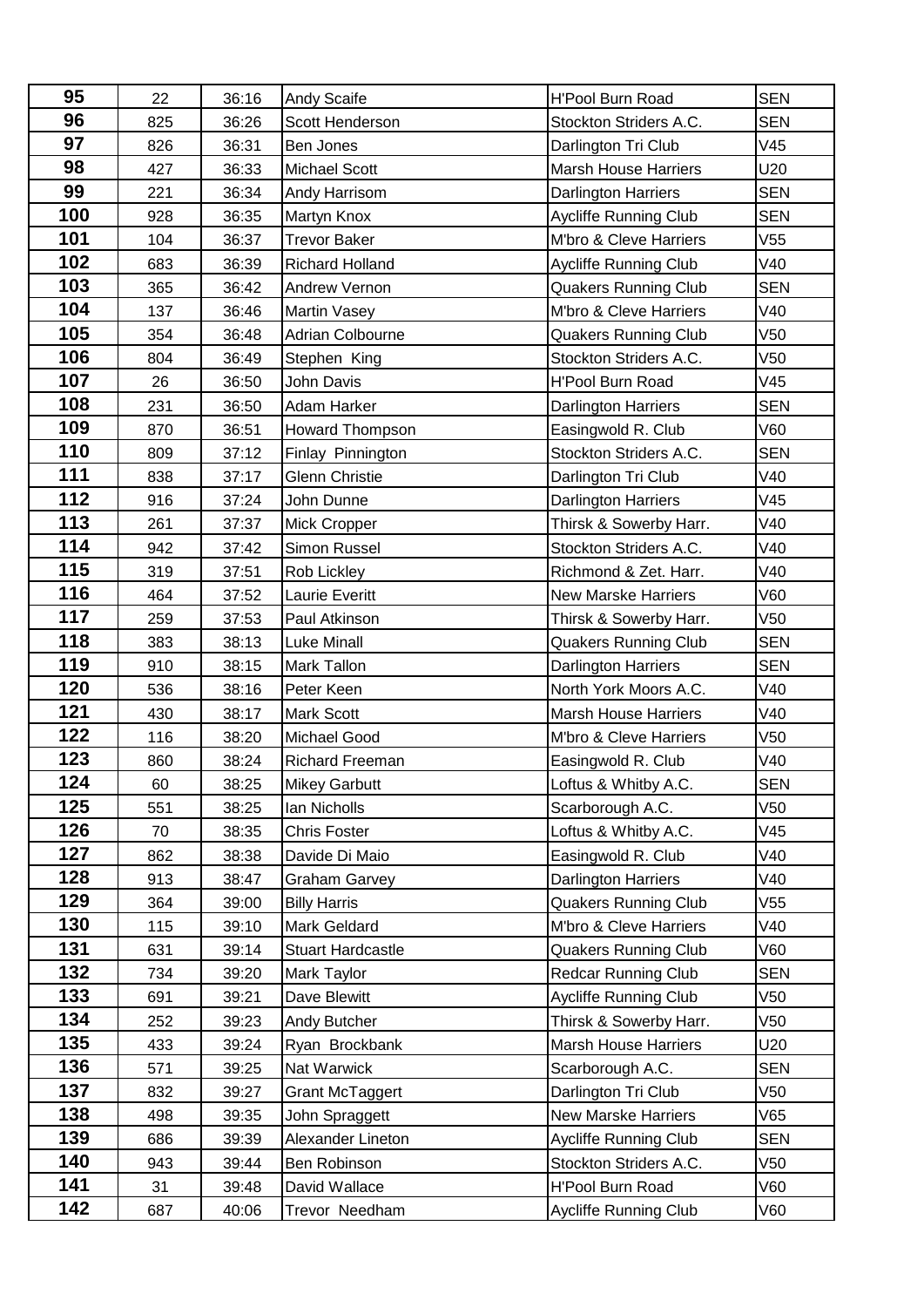| 95  | 22  | 36:16 | <b>Andy Scaife</b>       | <b>H'Pool Burn Road</b>      | <b>SEN</b> |
|-----|-----|-------|--------------------------|------------------------------|------------|
| 96  | 825 | 36:26 | Scott Henderson          | Stockton Striders A.C.       | <b>SEN</b> |
| 97  | 826 | 36:31 | Ben Jones                | Darlington Tri Club          | V45        |
| 98  | 427 | 36:33 | Michael Scott            | <b>Marsh House Harriers</b>  | U20        |
| 99  | 221 | 36:34 | Andy Harrisom            | <b>Darlington Harriers</b>   | <b>SEN</b> |
| 100 | 928 | 36:35 | <b>Martyn Knox</b>       | <b>Aycliffe Running Club</b> | <b>SEN</b> |
| 101 | 104 | 36:37 | <b>Trevor Baker</b>      | M'bro & Cleve Harriers       | V55        |
| 102 | 683 | 36:39 | <b>Richard Holland</b>   | <b>Aycliffe Running Club</b> | V40        |
| 103 | 365 | 36:42 | Andrew Vernon            | <b>Quakers Running Club</b>  | <b>SEN</b> |
| 104 | 137 | 36:46 | <b>Martin Vasey</b>      | M'bro & Cleve Harriers       | V40        |
| 105 | 354 | 36:48 | Adrian Colbourne         | <b>Quakers Running Club</b>  | V50        |
| 106 | 804 | 36:49 | Stephen King             | Stockton Striders A.C.       | V50        |
| 107 | 26  | 36:50 | <b>John Davis</b>        | <b>H'Pool Burn Road</b>      | V45        |
| 108 | 231 | 36:50 | Adam Harker              | Darlington Harriers          | <b>SEN</b> |
| 109 | 870 | 36:51 | Howard Thompson          | Easingwold R. Club           | V60        |
| 110 | 809 | 37:12 | Finlay Pinnington        | Stockton Striders A.C.       | <b>SEN</b> |
| 111 | 838 | 37:17 | <b>Glenn Christie</b>    | Darlington Tri Club          | V40        |
| 112 | 916 | 37:24 | John Dunne               | <b>Darlington Harriers</b>   | V45        |
| 113 | 261 | 37:37 | Mick Cropper             | Thirsk & Sowerby Harr.       | V40        |
| 114 | 942 | 37:42 | Simon Russel             | Stockton Striders A.C.       | V40        |
| 115 | 319 | 37:51 | Rob Lickley              | Richmond & Zet. Harr.        | V40        |
| 116 | 464 | 37:52 | <b>Laurie Everitt</b>    | <b>New Marske Harriers</b>   | V60        |
| 117 | 259 | 37:53 | Paul Atkinson            | Thirsk & Sowerby Harr.       | V50        |
| 118 | 383 | 38:13 | <b>Luke Minall</b>       | <b>Quakers Running Club</b>  | <b>SEN</b> |
| 119 | 910 | 38:15 | <b>Mark Tallon</b>       | <b>Darlington Harriers</b>   | <b>SEN</b> |
| 120 | 536 | 38:16 | Peter Keen               | North York Moors A.C.        | V40        |
| 121 | 430 | 38:17 | <b>Mark Scott</b>        | <b>Marsh House Harriers</b>  | V40        |
| 122 | 116 | 38:20 | Michael Good             | M'bro & Cleve Harriers       | V50        |
| 123 | 860 | 38:24 | Richard Freeman          | Easingwold R. Club           | V40        |
| 124 | 60  | 38:25 | <b>Mikey Garbutt</b>     | Loftus & Whitby A.C.         | SEN        |
| 125 | 551 | 38:25 | Ian Nicholls             | Scarborough A.C.             | V50        |
| 126 | 70  | 38:35 | <b>Chris Foster</b>      | Loftus & Whitby A.C.         | V45        |
| 127 | 862 | 38:38 | Davide Di Maio           | Easingwold R. Club           | V40        |
| 128 | 913 | 38:47 | <b>Graham Garvey</b>     | Darlington Harriers          | V40        |
| 129 | 364 | 39:00 | <b>Billy Harris</b>      | <b>Quakers Running Club</b>  | V55        |
| 130 | 115 | 39:10 | <b>Mark Geldard</b>      | M'bro & Cleve Harriers       | V40        |
| 131 | 631 | 39:14 | <b>Stuart Hardcastle</b> | <b>Quakers Running Club</b>  | V60        |
| 132 | 734 | 39:20 | Mark Taylor              | <b>Redcar Running Club</b>   | <b>SEN</b> |
| 133 | 691 | 39:21 | Dave Blewitt             | <b>Aycliffe Running Club</b> | V50        |
| 134 | 252 | 39:23 | Andy Butcher             | Thirsk & Sowerby Harr.       | V50        |
| 135 | 433 | 39:24 | Ryan Brockbank           | <b>Marsh House Harriers</b>  | U20        |
| 136 | 571 | 39:25 | Nat Warwick              | Scarborough A.C.             | <b>SEN</b> |
| 137 | 832 | 39:27 | <b>Grant McTaggert</b>   | Darlington Tri Club          | V50        |
| 138 | 498 | 39:35 | John Spraggett           | <b>New Marske Harriers</b>   | V65        |
| 139 | 686 | 39:39 | Alexander Lineton        | <b>Aycliffe Running Club</b> | <b>SEN</b> |
| 140 | 943 | 39:44 | Ben Robinson             | Stockton Striders A.C.       | V50        |
| 141 | 31  | 39:48 | David Wallace            | H'Pool Burn Road             | V60        |
| 142 | 687 | 40:06 | Trevor Needham           | <b>Aycliffe Running Club</b> | V60        |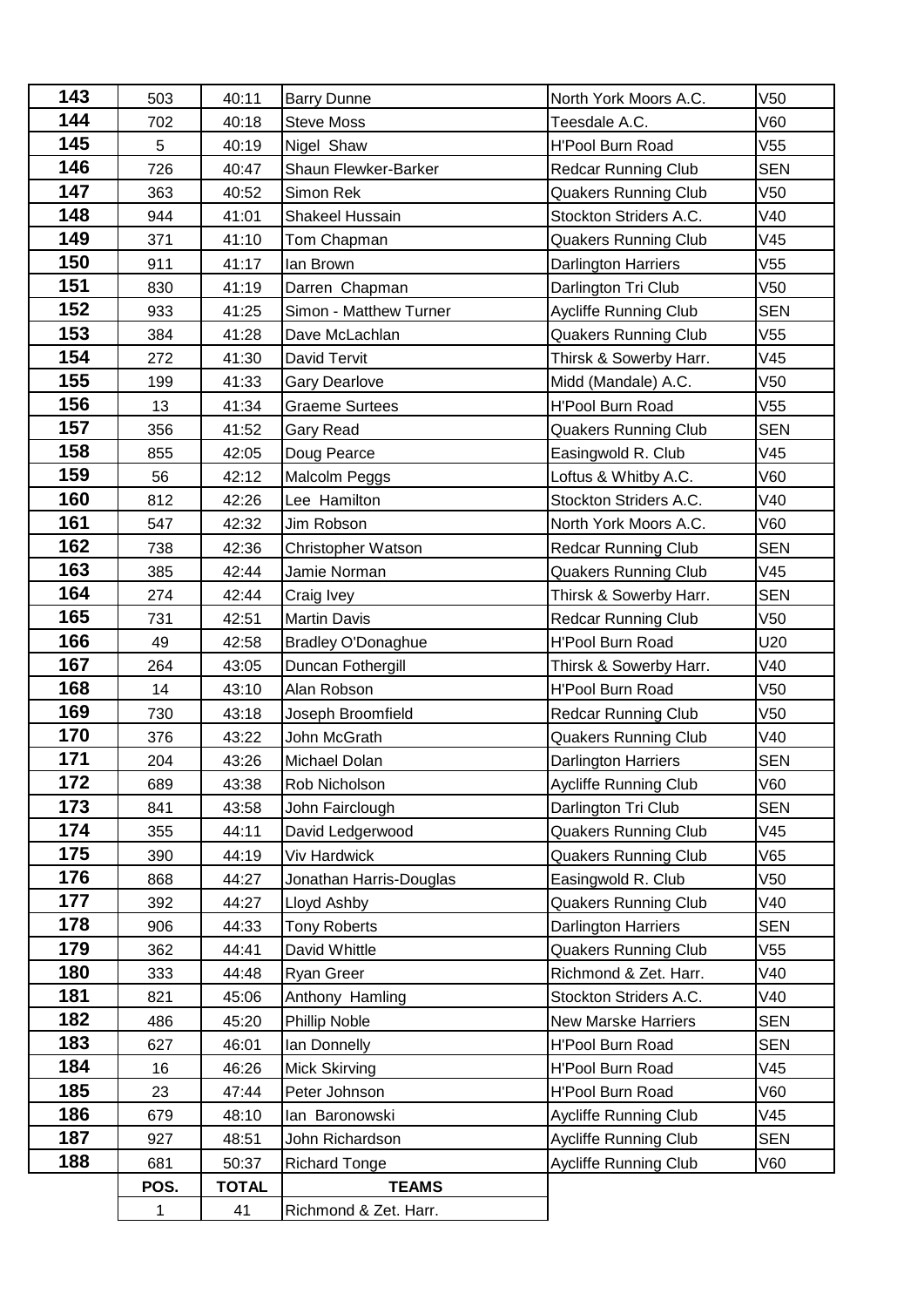| 143 | 503  | 40:11        | <b>Barry Dunne</b>                    | North York Moors A.C.        | V <sub>50</sub> |
|-----|------|--------------|---------------------------------------|------------------------------|-----------------|
| 144 | 702  | 40:18        | <b>Steve Moss</b>                     | Teesdale A.C.                | V60             |
| 145 | 5    | 40:19        | Nigel Shaw<br><b>H'Pool Burn Road</b> |                              | V55             |
| 146 | 726  | 40:47        | Shaun Flewker-Barker                  | <b>Redcar Running Club</b>   | <b>SEN</b>      |
| 147 | 363  | 40:52        | Simon Rek                             | <b>Quakers Running Club</b>  | V50             |
| 148 | 944  | 41:01        | Shakeel Hussain                       | Stockton Striders A.C.       | V40             |
| 149 | 371  | 41:10        | Tom Chapman                           | <b>Quakers Running Club</b>  | V45             |
| 150 | 911  | 41:17        | lan Brown                             | Darlington Harriers          | V55             |
| 151 | 830  | 41:19        | Darren Chapman                        | Darlington Tri Club          | V50             |
| 152 | 933  | 41:25        | Simon - Matthew Turner                | <b>Aycliffe Running Club</b> | <b>SEN</b>      |
| 153 | 384  | 41:28        | Dave McLachlan                        | <b>Quakers Running Club</b>  | V55             |
| 154 | 272  | 41:30        | <b>David Tervit</b>                   | Thirsk & Sowerby Harr.       | V45             |
| 155 | 199  | 41:33        | <b>Gary Dearlove</b>                  | Midd (Mandale) A.C.          | V50             |
| 156 | 13   | 41:34        | <b>Graeme Surtees</b>                 | H'Pool Burn Road             | V55             |
| 157 | 356  | 41:52        | Gary Read                             | <b>Quakers Running Club</b>  | <b>SEN</b>      |
| 158 | 855  | 42:05        | Doug Pearce                           | Easingwold R. Club           | V45             |
| 159 | 56   | 42:12        | Malcolm Peggs                         | Loftus & Whitby A.C.         | V60             |
| 160 | 812  | 42:26        | Lee Hamilton                          | Stockton Striders A.C.       | V40             |
| 161 | 547  | 42:32        | Jim Robson                            | North York Moors A.C.        | V60             |
| 162 | 738  | 42:36        | Christopher Watson                    | <b>Redcar Running Club</b>   | <b>SEN</b>      |
| 163 | 385  | 42:44        | Jamie Norman                          | <b>Quakers Running Club</b>  | V45             |
| 164 | 274  | 42:44        | Craig Ivey                            | Thirsk & Sowerby Harr.       | <b>SEN</b>      |
| 165 | 731  | 42:51        | <b>Martin Davis</b>                   | <b>Redcar Running Club</b>   | V50             |
| 166 | 49   | 42:58        | <b>Bradley O'Donaghue</b>             | <b>H'Pool Burn Road</b>      | U20             |
| 167 | 264  | 43:05        | Duncan Fothergill                     | Thirsk & Sowerby Harr.       | V40             |
| 168 | 14   | 43:10        | Alan Robson                           | <b>H'Pool Burn Road</b>      | V50             |
| 169 | 730  | 43:18        | Joseph Broomfield                     | <b>Redcar Running Club</b>   | V50             |
| 170 | 376  | 43:22        | John McGrath                          | <b>Quakers Running Club</b>  | V40             |
| 171 | 204  | 43:26        | Michael Dolan                         | Darlington Harriers          | <b>SEN</b>      |
| 172 | 689  | 43:38        | Rob Nicholson                         | Aycliffe Running Club        | V60             |
| 173 | 841  | 43:58        | John Fairclough                       | Darlington Tri Club          | <b>SEN</b>      |
| 174 | 355  | 44:11        | David Ledgerwood                      | <b>Quakers Running Club</b>  | V45             |
| 175 | 390  | 44:19        | Viv Hardwick                          | <b>Quakers Running Club</b>  | V65             |
| 176 | 868  | 44:27        | Jonathan Harris-Douglas               | Easingwold R. Club           | V50             |
| 177 | 392  | 44:27        | Lloyd Ashby                           | <b>Quakers Running Club</b>  | V40             |
| 178 | 906  | 44:33        | <b>Tony Roberts</b>                   | Darlington Harriers          | <b>SEN</b>      |
| 179 | 362  | 44:41        | David Whittle                         | <b>Quakers Running Club</b>  | V55             |
| 180 | 333  | 44:48        | <b>Ryan Greer</b>                     | Richmond & Zet. Harr.        | V40             |
| 181 | 821  | 45:06        | Anthony Hamling                       | Stockton Striders A.C.       | V40             |
| 182 | 486  | 45:20        | Phillip Noble                         | <b>New Marske Harriers</b>   | <b>SEN</b>      |
| 183 | 627  | 46:01        | lan Donnelly                          | <b>H'Pool Burn Road</b>      | <b>SEN</b>      |
| 184 | 16   | 46:26        | <b>Mick Skirving</b>                  | <b>H'Pool Burn Road</b>      | V45             |
| 185 | 23   | 47:44        | Peter Johnson                         | H'Pool Burn Road             | V60             |
| 186 | 679  | 48:10        | lan Baronowski                        | <b>Aycliffe Running Club</b> | V45             |
| 187 | 927  | 48:51        | John Richardson                       | Aycliffe Running Club        | <b>SEN</b>      |
| 188 | 681  | 50:37        | <b>Richard Tonge</b>                  | <b>Aycliffe Running Club</b> | V60             |
|     | POS. | <b>TOTAL</b> | <b>TEAMS</b>                          |                              |                 |
|     | 1    | 41           | Richmond & Zet. Harr.                 |                              |                 |